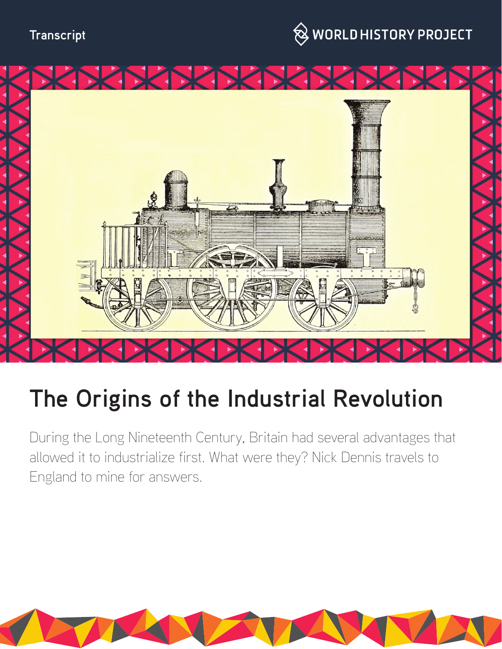



# **The Origins of the Industrial Revolution**

During the Long Nineteenth Century, Britain had several advantages that allowed it to industrialize first. What were they? Nick Dennis travels to England to mine for answers.

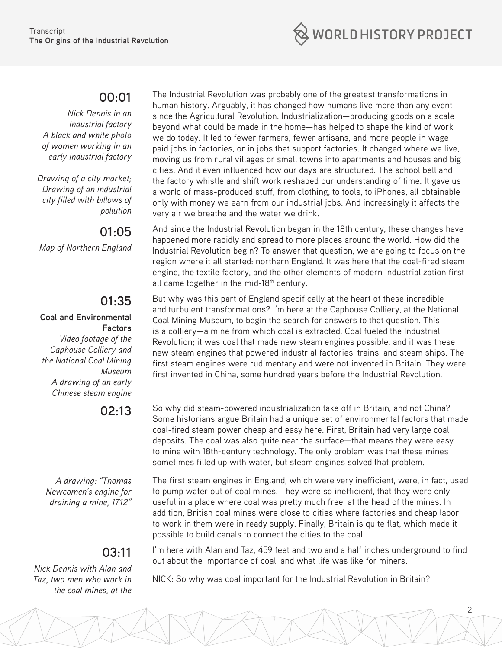

### **00:01**

*Nick Dennis in an industrial factory A black and white photo of women working in an early industrial factory*

*Drawing of a city market; Drawing of an industrial city filled with billows of pollution*

# **01:05**

*Map of Northern England*

# **01:35**

#### **Coal and Environmental Factors**

*Video footage of the Caphouse Colliery and the National Coal Mining Museum A drawing of an early Chinese steam engine*

## **02:13**

*A drawing: "Thomas Newcomen's engine for draining a mine, 1712"*

# **03:11**

*Nick Dennis with Alan and Taz, two men who work in the coal mines, at the* 

The Industrial Revolution was probably one of the greatest transformations in human history. Arguably, it has changed how humans live more than any event since the Agricultural Revolution. Industrialization—producing goods on a scale beyond what could be made in the home—has helped to shape the kind of work we do today. It led to fewer farmers, fewer artisans, and more people in wage paid jobs in factories, or in jobs that support factories. It changed where we live, moving us from rural villages or small towns into apartments and houses and big cities. And it even influenced how our days are structured. The school bell and the factory whistle and shift work reshaped our understanding of time. It gave us a world of mass-produced stuff, from clothing, to tools, to iPhones, all obtainable only with money we earn from our industrial jobs. And increasingly it affects the very air we breathe and the water we drink.

And since the Industrial Revolution began in the 18th century, these changes have happened more rapidly and spread to more places around the world. How did the Industrial Revolution begin? To answer that question, we are going to focus on the region where it all started: northern England. It was here that the coal-fired steam engine, the textile factory, and the other elements of modern industrialization first all came together in the mid-18<sup>th</sup> century.

But why was this part of England specifically at the heart of these incredible and turbulent transformations? I'm here at the Caphouse Colliery, at the National Coal Mining Museum, to begin the search for answers to that question. This is a colliery—a mine from which coal is extracted. Coal fueled the Industrial Revolution; it was coal that made new steam engines possible, and it was these new steam engines that powered industrial factories, trains, and steam ships. The first steam engines were rudimentary and were not invented in Britain. They were first invented in China, some hundred years before the Industrial Revolution.

So why did steam-powered industrialization take off in Britain, and not China? Some historians argue Britain had a unique set of environmental factors that made coal-fired steam power cheap and easy here. First, Britain had very large coal deposits. The coal was also quite near the surface—that means they were easy to mine with 18th-century technology. The only problem was that these mines sometimes filled up with water, but steam engines solved that problem.

The first steam engines in England, which were very inefficient, were, in fact, used to pump water out of coal mines. They were so inefficient, that they were only useful in a place where coal was pretty much free, at the head of the mines. In addition, British coal mines were close to cities where factories and cheap labor to work in them were in ready supply. Finally, Britain is quite flat, which made it possible to build canals to connect the cities to the coal.

I'm here with Alan and Taz, 459 feet and two and a half inches underground to find out about the importance of coal, and what life was like for miners.

2

NICK: So why was coal important for the Industrial Revolution in Britain?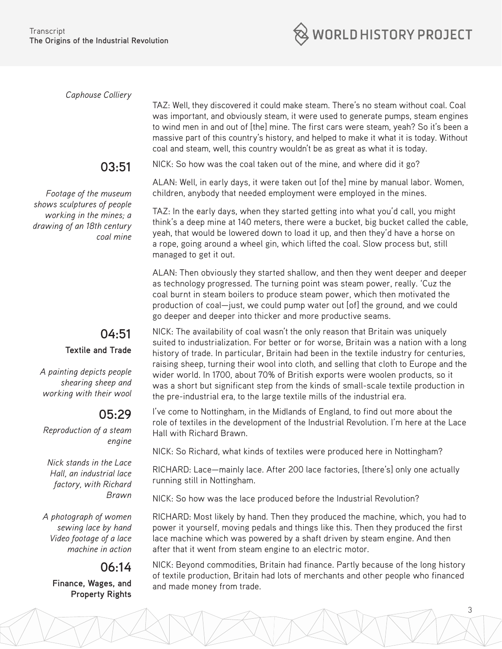WORLD HISTORY PROJECT

*Caphouse Colliery* 

massive part of this country's history, and helped to make it what it is today. Without coal and steam, well, this country wouldn't be as great as what it is today.

#### **03:51**

*Footage of the museum shows sculptures of people working in the mines; a drawing of an 18th century coal mine*

#### **04:51 Textile and Trade**

*A painting depicts people shearing sheep and working with their wool*

# **05:29**

*Reproduction of a steam engine*

*Nick stands in the Lace Hall, an industrial lace factory, with Richard Brawn*

*A photograph of women sewing lace by hand Video footage of a lace machine in action*

### **06:14**

**Finance, Wages, and Property Rights**

NICK: So how was the coal taken out of the mine, and where did it go?

ALAN: Well, in early days, it were taken out [of the] mine by manual labor. Women, children, anybody that needed employment were employed in the mines.

TAZ: Well, they discovered it could make steam. There's no steam without coal. Coal was important, and obviously steam, it were used to generate pumps, steam engines to wind men in and out of [the] mine. The first cars were steam, yeah? So it's been a

TAZ: In the early days, when they started getting into what you'd call, you might think's a deep mine at 140 meters, there were a bucket, big bucket called the cable, yeah, that would be lowered down to load it up, and then they'd have a horse on a rope, going around a wheel gin, which lifted the coal. Slow process but, still managed to get it out.

ALAN: Then obviously they started shallow, and then they went deeper and deeper as technology progressed. The turning point was steam power, really. 'Cuz the coal burnt in steam boilers to produce steam power, which then motivated the production of coal—just, we could pump water out [of] the ground, and we could go deeper and deeper into thicker and more productive seams.

NICK: The availability of coal wasn't the only reason that Britain was uniquely suited to industrialization. For better or for worse, Britain was a nation with a long history of trade. In particular, Britain had been in the textile industry for centuries, raising sheep, turning their wool into cloth, and selling that cloth to Europe and the wider world. In 1700, about 70% of British exports were woolen products, so it was a short but significant step from the kinds of small-scale textile production in the pre-industrial era, to the large textile mills of the industrial era.

I've come to Nottingham, in the Midlands of England, to find out more about the role of textiles in the development of the Industrial Revolution. I'm here at the Lace Hall with Richard Brawn.

NICK: So Richard, what kinds of textiles were produced here in Nottingham?

RICHARD: Lace—mainly lace. After 200 lace factories, [there's] only one actually running still in Nottingham.

NICK: So how was the lace produced before the Industrial Revolution?

RICHARD: Most likely by hand. Then they produced the machine, which, you had to power it yourself, moving pedals and things like this. Then they produced the first lace machine which was powered by a shaft driven by steam engine. And then after that it went from steam engine to an electric motor.

NICK: Beyond commodities, Britain had finance. Partly because of the long history of textile production, Britain had lots of merchants and other people who financed and made money from trade.

3